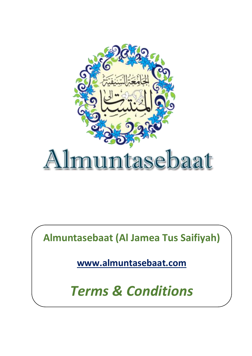

**Almuntasebaat (Al Jamea Tus Saifiyah)**

**[www.almuntasebaat.com](http://www.almuntasebaat.com)**

*Terms & Conditions*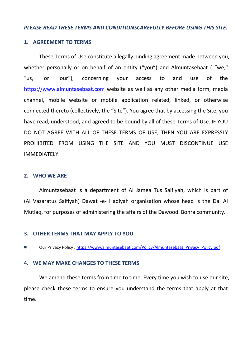### *PLEASE READ THESE TERMS AND CONDITIONSCAREFULLY BEFORE USING THIS SITE.*

#### **1. AGREEMENT TO TERMS**

These Terms of Use constitute a legally binding agreement made between you, whether personally or on behalf of an entity ("you") and Almuntasebaat ("we," "us," or "our"), concerning your access to and use of the <https://www.almuntasebaat.com> website as well as any other media form, media channel, mobile website or mobile application related, linked, or otherwise connected thereto (collectively, the "Site"). You agree that by accessing the Site, you have read, understood, and agreed to be bound by all of these Terms of Use. IF YOU DO NOT AGREE WITH ALL OF THESE TERMS OF USE, THEN YOU ARE EXPRESSLY PROHIBITED FROM USING THE SITE AND YOU MUST DISCONTINUE USE IMMEDIATELY.

#### **2. WHO WE ARE**

Almuntasebaat is a department of Al Jamea Tus Saifiyah, which is part of (Al Vazaratus Saifiyah) Dawat -e- Hadiyah organisation whose head is the Dai Al Mutlaq, for purposes of administering the affairs of the Dawoodi Bohra community.

### **3. OTHER TERMS THAT MAY APPLY TO YOU**

Our Privacy Policy : [https://www.almuntasebaat.com/Policy/Almuntasebaat\\_Privacy\\_Policy.pdf](https://www.almuntasebaat.com/Policy/Almuntasebaat_Privacy_Policy.pdf)

### **4. WE MAY MAKE CHANGES TO THESE TERMS**

We amend these terms from time to time. Every time you wish to use our site,<br>please check these terms to ensure you understand the terms that apply at that time.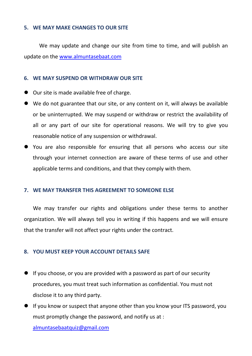# **5. WE MAY MAKE CHANGES TO OURSITE**

We may update and change our site from time to time, and will publish an update on the [www.almuntasebaat.com](http://www.almuntasebaat.com)

# **6. WE MAY SUSPEND OR WITHDRAW OUR SITE**

- Our site is made available free of charge.
- We do not guarantee that our site, or any content on it, will always be available or be uninterrupted. We may suspend or withdraw or restrict the availability of all or any part of our site for operational reasons. We will try to give you reasonable notice of any suspension or withdrawal.
- You are also responsible for ensuring that all persons who access our site through your internet connection are aware of these terms of use and other applicable terms and conditions, and that they comply with them.

# **7. WE MAY TRANSFER THIS AGREEMENT TO SOMEONE ELSE**

We may transfer our rights and obligations under these terms to another organization. We will always tell you in writing if this happens and we will ensure that the transfer will not affect your rights under the contract.

# **8. YOU MUST KEEP YOUR ACCOUNT DETAILS SAFE**

- $\bullet$  If you choose, or you are provided with a password as part of our security procedures, you must treat such information as confidential. You must not disclose it to any third party.
- If you know or suspect that anyone other than you know your ITS password, you must promptly change the password, and notify us at: [almuntasebaatquiz@gmail.com](mailto:almuntasebaatquiz@gmail.com)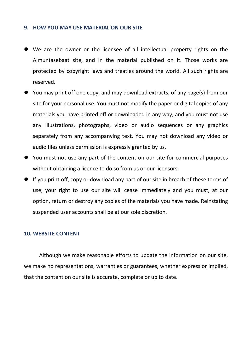### **9. HOW YOU MAY USE MATERIAL ON OUR SITE**

- We are the owner or the licensee of all intellectual property rights on the Almuntasebaat site, and in the material published on it. Those works are protected by copyright laws and treaties around the world. All such rights are reserved.
- You may print off one copy, and may download extracts, of any page(s) from our site for your personal use. You must not modify the paper or digital copies of any materials you have printed off or downloaded in any way, and you must not use any illustrations, photographs, video or audio sequences or any graphics separately from any accompanying text. You may not download any video or audio files unless permission is expressly granted by us.
- You must not use any part of the content on our site for commercial purposes without obtaining a licence to do so from us or our licensors.
- If you print off, copy or download any part of our site in breach of these terms of use, your right to use our site will cease immediately and you must, at our option, return or destroy any copies of the materials you have made. Reinstating suspended user accounts shall be at our sole discretion.

# **10. WEBSITE CONTENT**

Although we make reasonable efforts to update the information on our site, we make no representations, warranties or guarantees, whether express or implied, that the content on our site is accurate, complete or up to date.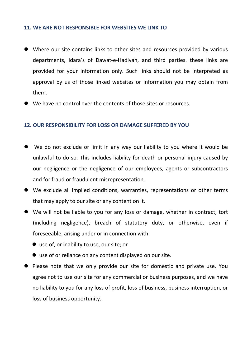# **11. WE ARE NOT RESPONSIBLE FOR WEBSITES WE LINK TO**

- Where our site contains links to other sites and resources provided by various departments, Idara's of Dawat-e-Hadiyah, and third parties. these links are provided for your information only. Such links should not be interpreted as approval by us of those linked websites or information you may obtain from them.
- We have no control over the contents of those sites or resources.

## **12. OUR RESPONSIBILITY FOR LOSS OR DAMAGE SUFFERED BY YOU**

- We do not exclude or limit in any way our liability to you where it would be unlawful to do so. This includes liability for death or personal injury caused by our negligence or the negligence of our employees, agents or subcontractors and for fraud or fraudulent misrepresentation.
- We exclude all implied conditions, warranties, representations or other terms that may apply to our site or any content on it.
- We will not be liable to you forany loss or damage, whether in contract, tort (including negligence), breach of statutory duty, or otherwise, even if foreseeable, arising under or in connection with:
	- use of, or inability to use, our site; or
	- use of or reliance on any content displayed on our site.
- **•** Please note that we only provide our site for domestic and private use. You agree not to use our site for any commercial or business purposes, and we have no liability to you for any loss of profit, loss of business, business interruption, or loss of business opportunity.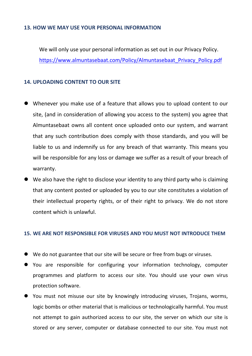# **13. HOW WE MAY USE YOUR PERSONAL INFORMATION**

We will only use your personal information as set out in our Privacy Policy. [https://www.almuntasebaat.com/Policy/Almuntasebaat\\_Privacy\\_Policy.pdf](https://www.almuntasebaat.com/Policy/Almuntasebaat_Privacy_Policy.pdf)

## **14. UPLOADING CONTENT TO OURSITE**

- Whenever you make use of a feature that allows you to upload content to our site, (and in consideration of allowing you access to the system) you agree that Almuntasebaat owns all content once uploaded onto our system, and warrant that any such contribution does comply with those standards, and you will be liable to us and indemnify us for any breach of that warranty. This means you will be responsible for any loss or damage we suffer as a result of your breach of warranty.
- We also have the right to disclose your identity to any third party who is claiming that any content posted or uploaded by you to our site constitutes a violation of their intellectual property rights, or of their right to privacy. We do not store content which is unlawful.

#### **15. WE ARE NOT RESPONSIBLE FOR VIRUSES AND YOU MUST NOT INTRODUCE THEM**

- We do not guarantee that our site will be secure or free from bugs or viruses.
- You are responsible for configuring your information technology, computer programmes and platform to access our site. You should use your own virus protection software.
- You must not misuse our site by knowingly introducing viruses, Trojans, worms, logic bombs or other material that is malicious or technologically harmful. You must not attempt to gain authorized access to our site, the server on which our site is stored or any server, computer or database connected to our site. You must not